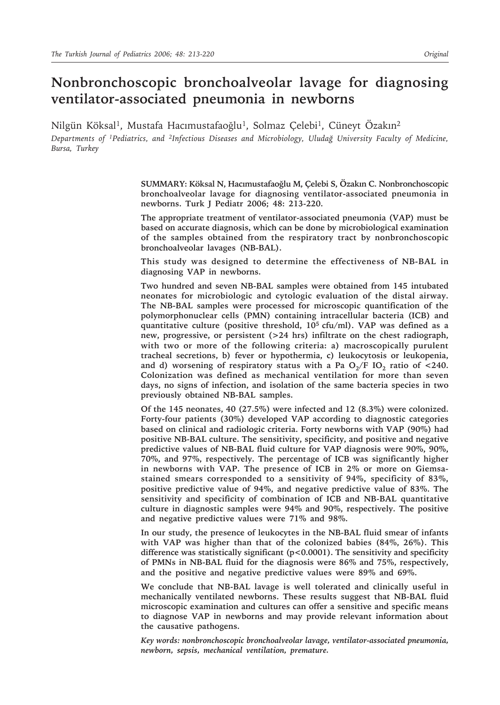# **Nonbronchoscopic bronchoalveolar lavage for diagnosing ventilator-associated pneumonia in newborns**

Nilgün Köksal<sup>1</sup>, Mustafa Hacımustafaoğlu<sup>1</sup>, Solmaz Çelebi<sup>1</sup>, Cüneyt Özakın<sup>2</sup>

*Departments of 1Pediatrics, and 2Infectious Diseases and Microbiology, Uludağ University Faculty of Medicine, Bursa, Turkey*

> **SUMMARY: Köksal N, Hacımustafaoğlu M, Çelebi S, Özakın C. Nonbronchoscopic bronchoalveolar lavage for diagnosing ventilator-associated pneumonia in newborns. Turk J Pediatr 2006; 48: 213-220.**

> **The appropriate treatment of ventilator-associated pneumonia (VAP) must be based on accurate diagnosis, which can be done by microbiological examination of the samples obtained from the respiratory tract by nonbronchoscopic bronchoalveolar lavages (NB-BAL).**

> **This study was designed to determine the effectiveness of NB-BAL in diagnosing VAP in newborns.**

> **Two hundred and seven NB-BAL samples were obtained from 145 intubated neonates for microbiologic and cytologic evaluation of the distal airway. The NB-BAL samples were processed for microscopic quantification of the polymorphonuclear cells (PMN) containing intracellular bacteria (ICB) and quantitative culture (positive threshold, 105 cfu/ml). VAP was defined as a new, progressive, or persistent (>24 hrs) infiltrate on the chest radiograph, with two or more of the following criteria: a) macroscopically purulent tracheal secretions, b) fever or hypothermia, c) leukocytosis or leukopenia,**  and d) worsening of respiratory status with a Pa  $O_2/F IO_2$  ratio of <240. **Colonization was defined as mechanical ventilation for more than seven days, no signs of infection, and isolation of the same bacteria species in two previously obtained NB-BAL samples.**

> **Of the 145 neonates, 40 (27.5%) were infected and 12 (8.3%) were colonized. Forty-four patients (30%) developed VAP according to diagnostic categories based on clinical and radiologic criteria. Forty newborns with VAP (90%) had positive NB-BAL culture. The sensitivity, specificity, and positive and negative predictive values of NB-BAL fluid culture for VAP diagnosis were 90%, 90%, 70%, and 97%, respectively. The percentage of ICB was significantly higher in newborns with VAP. The presence of ICB in 2% or more on Giemsastained smears corresponded to a sensitivity of 94%, specificity of 83%, positive predictive value of 94%, and negative predictive value of 83%. The sensitivity and specificity of combination of ICB and NB-BAL quantitative culture in diagnostic samples were 94% and 90%, respectively. The positive and negative predictive values were 71% and 98%.**

> **In our study, the presence of leukocytes in the NB-BAL fluid smear of infants with VAP was higher than that of the colonized babies (84%, 26%). This difference was statistically significant (p<0.0001). The sensitivity and specificity of PMNs in NB-BAL fluid for the diagnosis were 86% and 75%, respectively, and the positive and negative predictive values were 89% and 69%.**

> **We conclude that NB-BAL lavage is well tolerated and clinically useful in mechanically ventilated newborns. These results suggest that NB-BAL fluid microscopic examination and cultures can offer a sensitive and specific means to diagnose VAP in newborns and may provide relevant information about the causative pathogens.**

> *Key words: nonbronchoscopic bronchoalveolar lavage, ventilator-associated pneumonia, newborn, sepsis, mechanical ventilation, premature.*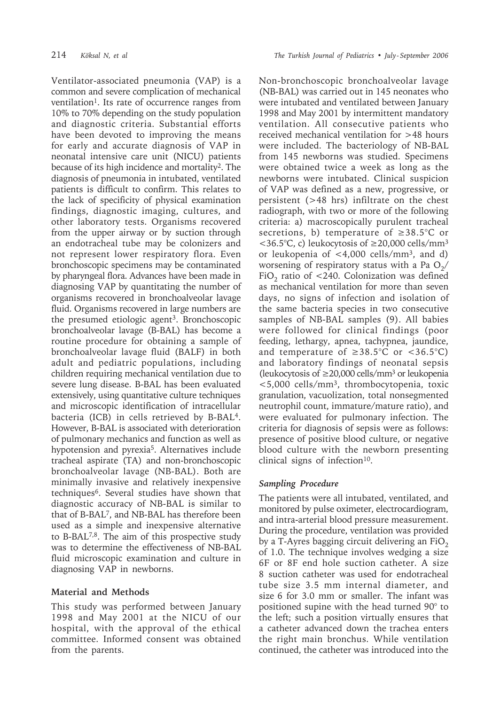Ventilator-associated pneumonia (VAP) is a common and severe complication of mechanical ventilation<sup>1</sup>. Its rate of occurrence ranges from 10% to 70% depending on the study population and diagnostic criteria. Substantial efforts have been devoted to improving the means for early and accurate diagnosis of VAP in neonatal intensive care unit (NICU) patients because of its high incidence and mortality2. The diagnosis of pneumonia in intubated, ventilated patients is difficult to confirm. This relates to the lack of specificity of physical examination findings, diagnostic imaging, cultures, and other laboratory tests. Organisms recovered from the upper airway or by suction through an endotracheal tube may be colonizers and not represent lower respiratory flora. Even bronchoscopic specimens may be contaminated by pharyngeal flora. Advances have been made in diagnosing VAP by quantitating the number of organisms recovered in bronchoalveolar lavage fluid. Organisms recovered in large numbers are the presumed etiologic agent<sup>3</sup>. Bronchoscopic bronchoalveolar lavage (B-BAL) has become a routine procedure for obtaining a sample of bronchoalveolar lavage fluid (BALF) in both adult and pediatric populations, including children requiring mechanical ventilation due to severe lung disease. B-BAL has been evaluated extensively, using quantitative culture techniques and microscopic identification of intracellular bacteria (ICB) in cells retrieved by B-BAL4. However, B-BAL is associated with deterioration of pulmonary mechanics and function as well as hypotension and pyrexia<sup>5</sup>. Alternatives include tracheal aspirate (TA) and non-bronchoscopic bronchoalveolar lavage (NB-BAL). Both are minimally invasive and relatively inexpensive techniques6. Several studies have shown that diagnostic accuracy of NB-BAL is similar to that of B-BAL7, and NB-BAL has therefore been used as a simple and inexpensive alternative to B-BAL7,8. The aim of this prospective study was to determine the effectiveness of NB-BAL fluid microscopic examination and culture in diagnosing VAP in newborns.

#### **Material and Methods**

This study was performed between January 1998 and May 2001 at the NICU of our hospital, with the approval of the ethical committee. Informed consent was obtained from the parents.

Non-bronchoscopic bronchoalveolar lavage (NB-BAL) was carried out in 145 neonates who were intubated and ventilated between January 1998 and May 2001 by intermittent mandatory ventilation. All consecutive patients who received mechanical ventilation for >48 hours were included. The bacteriology of NB-BAL from 145 newborns was studied. Specimens were obtained twice a week as long as the newborns were intubated. Clinical suspicion of VAP was defined as a new, progressive, or persistent (>48 hrs) infiltrate on the chest radiograph, with two or more of the following criteria: a) macroscopically purulent tracheal secretions, b) temperature of  $\geq 38.5^{\circ}$ C or  $<$ 36.5°C, c) leukocytosis of ≥20,000 cells/mm<sup>3</sup> or leukopenia of <4,000 cells/mm3, and d) worsening of respiratory status with a Pa  $O<sub>2</sub>$ / FiO<sub>2</sub> ratio of  $\leq$ 240. Colonization was defined as mechanical ventilation for more than seven days, no signs of infection and isolation of the same bacteria species in two consecutive samples of NB-BAL samples (9). All babies were followed for clinical findings (poor feeding, lethargy, apnea, tachypnea, jaundice, and temperature of  $\geq 38.5^{\circ}$ C or <36.5°C) and laboratory findings of neonatal sepsis (leukocytosis of  $\geq$ 20,000 cells/mm<sup>3</sup> or leukopenia <5,000 cells/mm3, thrombocytopenia, toxic granulation, vacuolization, total nonsegmented neutrophil count, immature/mature ratio), and were evaluated for pulmonary infection. The criteria for diagnosis of sepsis were as follows: presence of positive blood culture, or negative blood culture with the newborn presenting clinical signs of infection $10$ .

#### *Sampling Procedure*

The patients were all intubated, ventilated, and monitored by pulse oximeter, electrocardiogram, and intra-arterial blood pressure measurement. During the procedure, ventilation was provided by a T-Ayres bagging circuit delivering an  $FiO<sub>2</sub>$ of 1.0. The technique involves wedging a size 6F or 8F end hole suction catheter. A size 8 suction catheter was used for endotracheal tube size 3.5 mm internal diameter, and size 6 for 3.0 mm or smaller. The infant was positioned supine with the head turned 90° to the left; such a position virtually ensures that a catheter advanced down the trachea enters the right main bronchus. While ventilation continued, the catheter was introduced into the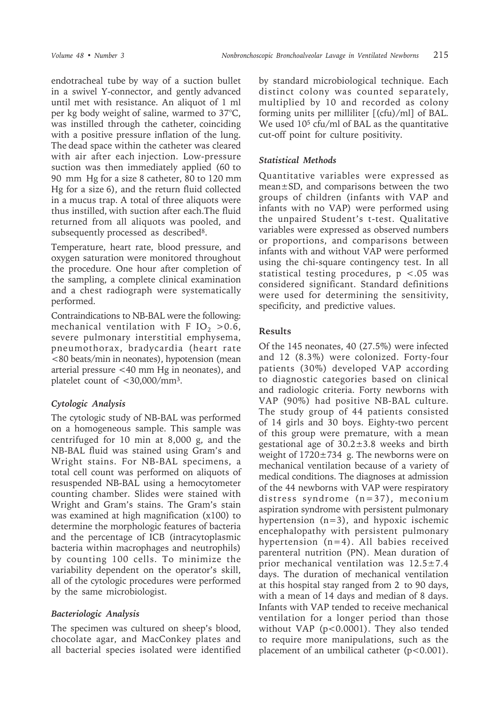endotracheal tube by way of a suction bullet in a swivel Y-connector, and gently advanced until met with resistance. An aliquot of 1 ml per kg body weight of saline, warmed to 37°C, was instilled through the catheter, coinciding with a positive pressure inflation of the lung. The dead space within the catheter was cleared with air after each injection. Low-pressure suction was then immediately applied (60 to 90 mm Hg for a size 8 catheter, 80 to 120 mm Hg for a size 6), and the return fluid collected in a mucus trap. A total of three aliquots were thus instilled, with suction after each.The fluid returned from all aliquots was pooled, and subsequently processed as described<sup>8</sup>.

Temperature, heart rate, blood pressure, and oxygen saturation were monitored throughout the procedure. One hour after completion of the sampling, a complete clinical examination and a chest radiograph were systematically performed.

Contraindications to NB-BAL were the following: mechanical ventilation with F IO<sub>2</sub> > 0.6, severe pulmonary interstitial emphysema, pneumothorax, bradycardia (heart rate <80 beats/min in neonates), hypotension (mean arterial pressure <40 mm Hg in neonates), and platelet count of <30,000/mm3.

# *Cytologic Analysis*

The cytologic study of NB-BAL was performed on a homogeneous sample. This sample was centrifuged for 10 min at 8,000 g, and the NB-BAL fluid was stained using Gram's and Wright stains. For NB-BAL specimens, a total cell count was performed on aliquots of resuspended NB-BAL using a hemocytometer counting chamber. Slides were stained with Wright and Gram's stains. The Gram's stain was examined at high magnification (x100) to determine the morphologic features of bacteria and the percentage of ICB (intracytoplasmic bacteria within macrophages and neutrophils) by counting 100 cells. To minimize the variability dependent on the operator's skill, all of the cytologic procedures were performed by the same microbiologist.

# *Bacteriologic Analysis*

The specimen was cultured on sheep's blood, chocolate agar, and MacConkey plates and all bacterial species isolated were identified

by standard microbiological technique. Each distinct colony was counted separately, multiplied by 10 and recorded as colony forming units per milliliter [(cfu)/ml] of BAL. We used 10<sup>5</sup> cfu/ml of BAL as the quantitative cut-off point for culture positivity.

### *Statistical Methods*

Quantitative variables were expressed as mean±SD, and comparisons between the two groups of children (infants with VAP and infants with no VAP) were performed using the unpaired Student's t-test. Qualitative variables were expressed as observed numbers or proportions, and comparisons between infants with and without VAP were performed using the chi-square contingency test. In all statistical testing procedures, p <.05 was considered significant. Standard definitions were used for determining the sensitivity, specificity, and predictive values.

# **Results**

Of the 145 neonates, 40 (27.5%) were infected and 12 (8.3%) were colonized. Forty-four patients (30%) developed VAP according to diagnostic categories based on clinical and radiologic criteria. Forty newborns with VAP (90%) had positive NB-BAL culture. The study group of 44 patients consisted of 14 girls and 30 boys. Eighty-two percent of this group were premature, with a mean gestational age of 30.2±3.8 weeks and birth weight of  $1720 \pm 734$  g. The newborns were on mechanical ventilation because of a variety of medical conditions. The diagnoses at admission of the 44 newborns with VAP were respiratory distress syndrome (n=37), meconium aspiration syndrome with persistent pulmonary hypertension (n=3), and hypoxic ischemic encephalopathy with persistent pulmonary hypertension (n=4). All babies received parenteral nutrition (PN). Mean duration of prior mechanical ventilation was 12.5±7.4 days. The duration of mechanical ventilation at this hospital stay ranged from 2 to 90 days, with a mean of 14 days and median of 8 days. Infants with VAP tended to receive mechanical ventilation for a longer period than those without VAP (p<0.0001). They also tended to require more manipulations, such as the placement of an umbilical catheter  $(p<0.001)$ .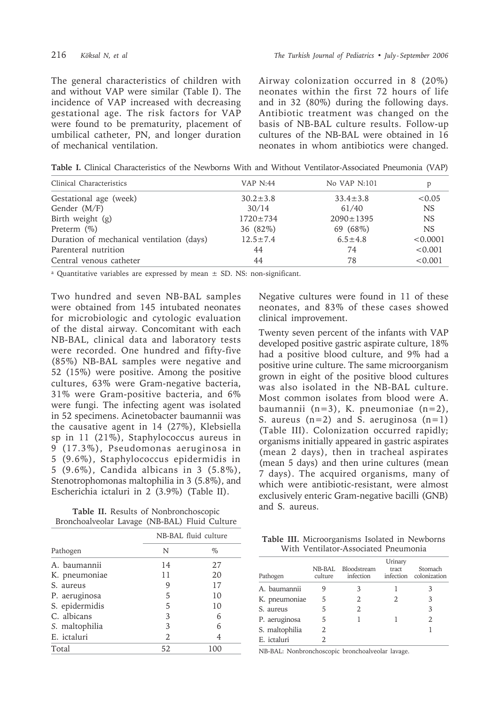The general characteristics of children with and without VAP were similar (Table I). The incidence of VAP increased with decreasing gestational age. The risk factors for VAP were found to be prematurity, placement of umbilical catheter, PN, and longer duration of mechanical ventilation.

Airway colonization occurred in 8 (20%) neonates within the first 72 hours of life and in 32 (80%) during the following days. Antibiotic treatment was changed on the basis of NB-BAL culture results. Follow-up cultures of the NB-BAL were obtained in 16 neonates in whom antibiotics were changed.

**Table I.** Clinical Characteristics of the Newborns With and Without Ventilator-Associated Pneumonia (VAP)

| Clinical Characteristics                  | VAP N:44       | No VAP N:101    |           |
|-------------------------------------------|----------------|-----------------|-----------|
| Gestational age (week)                    | $30.2 \pm 3.8$ | $33.4 \pm 3.8$  | < 0.05    |
| Gender (M/F)                              | 30/14          | 61/40           | <b>NS</b> |
| Birth weight (g)                          | $1720 \pm 734$ | $2090 \pm 1395$ | <b>NS</b> |
| Preterm $(\%)$                            | 36 (82%)       | 69 (68%)        | <b>NS</b> |
| Duration of mechanical ventilation (days) | $12.5 \pm 7.4$ | $6.5 \pm 4.8$   | < 0.0001  |
| Parenteral nutrition                      | 44             | 74              | < 0.001   |
| Central venous catheter                   | 44             | 78              | < 0.001   |

<sup>a</sup> Quantitative variables are expressed by mean  $\pm$  SD. NS: non-significant.

Two hundred and seven NB-BAL samples were obtained from 145 intubated neonates for microbiologic and cytologic evaluation of the distal airway. Concomitant with each NB-BAL, clinical data and laboratory tests were recorded. One hundred and fifty-five (85%) NB-BAL samples were negative and 52 (15%) were positive. Among the positive cultures, 63% were Gram-negative bacteria, 31% were Gram-positive bacteria, and 6% were fungi. The infecting agent was isolated in 52 specimens. Acinetobacter baumannii was the causative agent in 14 (27%), Klebsiella sp in 11 (21%), Staphylococcus aureus in 9 (17.3%), Pseudomonas aeruginosa in 5 (9.6%), Staphylococcus epidermidis in 5 (9.6%), Candida albicans in 3 (5.8%), Stenotrophomonas maltophilia in 3 (5.8%), and Escherichia ictaluri in 2 (3.9%) (Table II).

**Table II.** Results of Nonbronchoscopic Bronchoalveolar Lavage (NB-BAL) Fluid Culture

|                | NB-BAL fluid culture |      |  |
|----------------|----------------------|------|--|
| Pathogen       | N                    | $\%$ |  |
| A. baumannii   | 14                   | 27   |  |
| K. pneumoniae  | 11                   | 20   |  |
| S. aureus      | 9                    | 17   |  |
| P. aeruginosa  | 5                    | 10   |  |
| S. epidermidis | 5                    | 10   |  |
| C. albicans    | 3                    | 6    |  |
| S. maltophilia | 3                    | 6    |  |
| E. ictaluri    | 2                    | 4    |  |
| Total          | 52                   | 100  |  |

Negative cultures were found in 11 of these neonates, and 83% of these cases showed clinical improvement.

Twenty seven percent of the infants with VAP developed positive gastric aspirate culture, 18% had a positive blood culture, and 9% had a positive urine culture. The same microorganism grown in eight of the positive blood cultures was also isolated in the NB-BAL culture. Most common isolates from blood were A. baumannii (n=3), K. pneumoniae (n=2), S. aureus  $(n=2)$  and S. aeruginosa  $(n=1)$ (Table III). Colonization occurred rapidly; organisms initially appeared in gastric aspirates (mean 2 days), then in tracheal aspirates (mean 5 days) and then urine cultures (mean 7 days). The acquired organisms, many of which were antibiotic-resistant, were almost exclusively enteric Gram-negative bacilli (GNB) and S. aureus.

**Table III.** Microorganisms Isolated in Newborns With Ventilator-Associated Pneumonia

| Pathogen       | NB-BAL<br>culture | Bloodstream<br>infection | Urinary<br>tract | Stomach<br>infection colonization |
|----------------|-------------------|--------------------------|------------------|-----------------------------------|
| A. baumannii   |                   | 3                        |                  | 3                                 |
| K. pneumoniae  | 5                 | 2.                       |                  | 3                                 |
| S. aureus      | 5                 | 2                        |                  | 3                                 |
| P. aeruginosa  | 5                 |                          |                  | 2                                 |
| S. maltophilia | 2                 |                          |                  |                                   |
| E. ictaluri    |                   |                          |                  |                                   |

NB-BAL: Nonbronchoscopic bronchoalveolar lavage.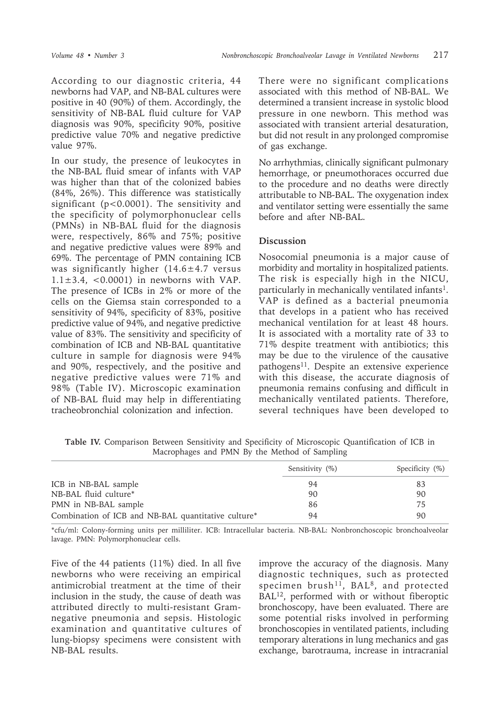According to our diagnostic criteria, 44 newborns had VAP, and NB-BAL cultures were positive in 40 (90%) of them. Accordingly, the sensitivity of NB-BAL fluid culture for VAP diagnosis was 90%, specificity 90%, positive predictive value 70% and negative predictive value 97%.

In our study, the presence of leukocytes in the NB-BAL fluid smear of infants with VAP was higher than that of the colonized babies (84%, 26%). This difference was statistically significant (p<0.0001). The sensitivity and the specificity of polymorphonuclear cells (PMNs) in NB-BAL fluid for the diagnosis were, respectively, 86% and 75%; positive and negative predictive values were 89% and 69%. The percentage of PMN containing ICB was significantly higher  $(14.6 \pm 4.7 \text{ versus}$  $1.1\pm3.4$ , <0.0001) in newborns with VAP. The presence of ICBs in 2% or more of the cells on the Giemsa stain corresponded to a sensitivity of 94%, specificity of 83%, positive predictive value of 94%, and negative predictive value of 83%. The sensitivity and specificity of combination of ICB and NB-BAL quantitative culture in sample for diagnosis were 94% and 90%, respectively, and the positive and negative predictive values were 71% and 98% (Table IV). Microscopic examination of NB-BAL fluid may help in differentiating tracheobronchial colonization and infection.

There were no significant complications associated with this method of NB-BAL. We determined a transient increase in systolic blood pressure in one newborn. This method was associated with transient arterial desaturation, but did not result in any prolonged compromise of gas exchange.

No arrhythmias, clinically significant pulmonary hemorrhage, or pneumothoraces occurred due to the procedure and no deaths were directly attributable to NB-BAL. The oxygenation index and ventilator setting were essentially the same before and after NB-BAL.

#### **Discussion**

Nosocomial pneumonia is a major cause of morbidity and mortality in hospitalized patients. The risk is especially high in the NICU, particularly in mechanically ventilated infants<sup>1</sup>. VAP is defined as a bacterial pneumonia that develops in a patient who has received mechanical ventilation for at least 48 hours. It is associated with a mortality rate of 33 to 71% despite treatment with antibiotics; this may be due to the virulence of the causative pathogens<sup>11</sup>. Despite an extensive experience with this disease, the accurate diagnosis of pneumonia remains confusing and difficult in mechanically ventilated patients. Therefore, several techniques have been developed to

**Table IV.** Comparison Between Sensitivity and Specificity of Microscopic Quantification of ICB in Macrophages and PMN By the Method of Sampling

|                                                     | Sensitivity (%) | Specificity $(\%)$ |
|-----------------------------------------------------|-----------------|--------------------|
| ICB in NB-BAL sample                                | 94              | 83                 |
| NB-BAL fluid culture*                               | 90              | 90                 |
| PMN in NB-BAL sample                                | 86              | 75                 |
| Combination of ICB and NB-BAL quantitative culture* | 94              | 90                 |

\*cfu/ml: Colony-forming units per milliliter. ICB: Intracellular bacteria. NB-BAL: Nonbronchoscopic bronchoalveolar lavage. PMN: Polymorphonuclear cells.

Five of the 44 patients (11%) died. In all five newborns who were receiving an empirical antimicrobial treatment at the time of their inclusion in the study, the cause of death was attributed directly to multi-resistant Gramnegative pneumonia and sepsis. Histologic examination and quantitative cultures of lung-biopsy specimens were consistent with NB-BAL results.

improve the accuracy of the diagnosis. Many diagnostic techniques, such as protected specimen brush<sup>11</sup>, BAL<sup>8</sup>, and protected BAL12, performed with or without fiberoptic bronchoscopy, have been evaluated. There are some potential risks involved in performing bronchoscopies in ventilated patients, including temporary alterations in lung mechanics and gas exchange, barotrauma, increase in intracranial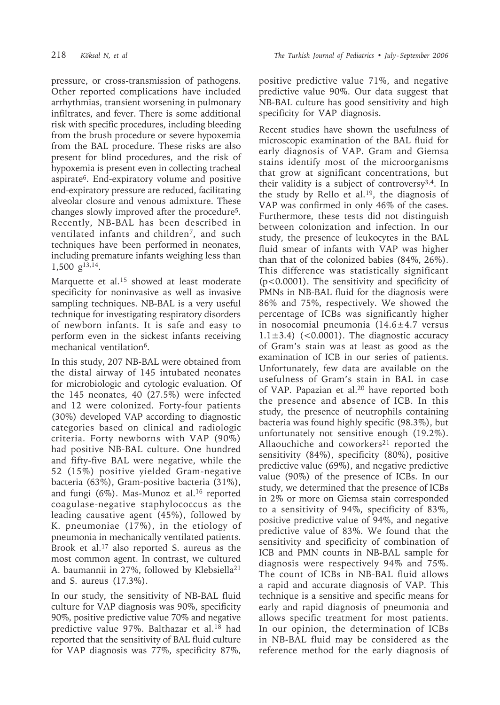pressure, or cross-transmission of pathogens. Other reported complications have included arrhythmias, transient worsening in pulmonary infiltrates, and fever. There is some additional risk with specific procedures, including bleeding from the brush procedure or severe hypoxemia from the BAL procedure. These risks are also present for blind procedures, and the risk of hypoxemia is present even in collecting tracheal aspirate6. End-expiratory volume and positive end-expiratory pressure are reduced, facilitating alveolar closure and venous admixture. These changes slowly improved after the procedure5. Recently, NB-BAL has been described in ventilated infants and children<sup>7</sup>, and such techniques have been performed in neonates, including premature infants weighing less than 1,500 g13,14.

Marquette et al.15 showed at least moderate specificity for noninvasive as well as invasive sampling techniques. NB-BAL is a very useful technique for investigating respiratory disorders of newborn infants. It is safe and easy to perform even in the sickest infants receiving mechanical ventilation<sup>6</sup>.

In this study, 207 NB-BAL were obtained from the distal airway of 145 intubated neonates for microbiologic and cytologic evaluation. Of the 145 neonates, 40 (27.5%) were infected and 12 were colonized. Forty-four patients (30%) developed VAP according to diagnostic categories based on clinical and radiologic criteria. Forty newborns with VAP (90%) had positive NB-BAL culture. One hundred and fifty-five BAL were negative, while the 52 (15%) positive yielded Gram-negative bacteria (63%), Gram-positive bacteria (31%), and fungi (6%). Mas-Munoz et al.<sup>16</sup> reported coagulase-negative staphylococcus as the leading causative agent (45%), followed by K. pneumoniae (17%), in the etiology of pneumonia in mechanically ventilated patients. Brook et al.17 also reported S. aureus as the most common agent. In contrast, we cultured A. baumannii in 27%, followed by Klebsiella<sup>21</sup> and S. aureus (17.3%).

In our study, the sensitivity of NB-BAL fluid culture for VAP diagnosis was 90%, specificity 90%, positive predictive value 70% and negative predictive value 97%. Balthazar et al.18 had reported that the sensitivity of BAL fluid culture for VAP diagnosis was 77%, specificity 87%,

positive predictive value 71%, and negative predictive value 90%. Our data suggest that NB-BAL culture has good sensitivity and high specificity for VAP diagnosis.

Recent studies have shown the usefulness of microscopic examination of the BAL fluid for early diagnosis of VAP. Gram and Giemsa stains identify most of the microorganisms that grow at significant concentrations, but their validity is a subject of controversy3,4. In the study by Rello et al.19, the diagnosis of VAP was confirmed in only 46% of the cases. Furthermore, these tests did not distinguish between colonization and infection. In our study, the presence of leukocytes in the BAL fluid smear of infants with VAP was higher than that of the colonized babies (84%, 26%). This difference was statistically significant (p<0.0001). The sensitivity and specificity of PMNs in NB-BAL fluid for the diagnosis were 86% and 75%, respectively. We showed the percentage of ICBs was significantly higher in nosocomial pneumonia (14.6±4.7 versus  $1.1\pm3.4$ ) (<0.0001). The diagnostic accuracy of Gram's stain was at least as good as the examination of ICB in our series of patients. Unfortunately, few data are available on the usefulness of Gram's stain in BAL in case of VAP. Papazian et al.20 have reported both the presence and absence of ICB. In this study, the presence of neutrophils containing bacteria was found highly specific (98.3%), but unfortunately not sensitive enough (19.2%). Allaouchiche and coworkers<sup>21</sup> reported the sensitivity (84%), specificity (80%), positive predictive value (69%), and negative predictive value (90%) of the presence of ICBs. In our study, we determined that the presence of ICBs in 2% or more on Giemsa stain corresponded to a sensitivity of 94%, specificity of 83%, positive predictive value of 94%, and negative predictive value of 83%. We found that the sensitivity and specificity of combination of ICB and PMN counts in NB-BAL sample for diagnosis were respectively 94% and 75%. The count of ICBs in NB-BAL fluid allows a rapid and accurate diagnosis of VAP. This technique is a sensitive and specific means for early and rapid diagnosis of pneumonia and allows specific treatment for most patients. In our opinion, the determination of ICBs in NB-BAL fluid may be considered as the reference method for the early diagnosis of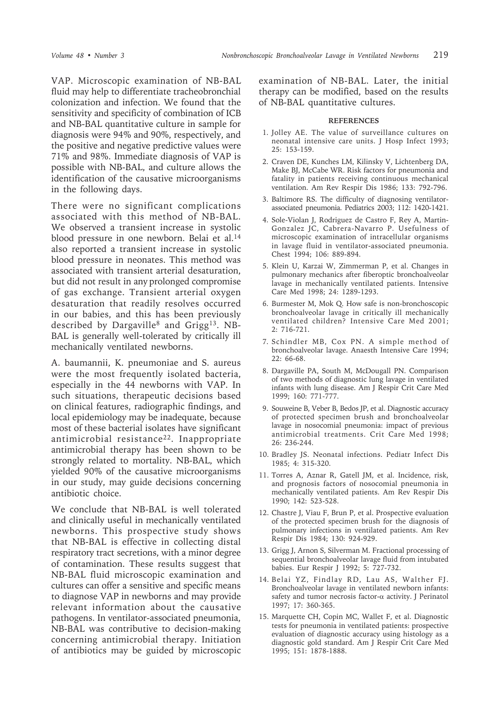VAP. Microscopic examination of NB-BAL fluid may help to differentiate tracheobronchial colonization and infection. We found that the sensitivity and specificity of combination of ICB and NB-BAL quantitative culture in sample for diagnosis were 94% and 90%, respectively, and the positive and negative predictive values were 71% and 98%. Immediate diagnosis of VAP is possible with NB-BAL, and culture allows the identification of the causative microorganisms in the following days.

There were no significant complications associated with this method of NB-BAL. We observed a transient increase in systolic blood pressure in one newborn. Belai et al.<sup>14</sup> also reported a transient increase in systolic blood pressure in neonates. This method was associated with transient arterial desaturation, but did not result in any prolonged compromise of gas exchange. Transient arterial oxygen desaturation that readily resolves occurred in our babies, and this has been previously described by Dargaville<sup>8</sup> and Grigg<sup>13</sup>. NB-BAL is generally well-tolerated by critically ill mechanically ventilated newborns.

A. baumannii, K. pneumoniae and S. aureus were the most frequently isolated bacteria, especially in the 44 newborns with VAP. In such situations, therapeutic decisions based on clinical features, radiographic findings, and local epidemiology may be inadequate, because most of these bacterial isolates have significant antimicrobial resistance<sup>22</sup>. Inappropriate antimicrobial therapy has been shown to be strongly related to mortality. NB-BAL, which yielded 90% of the causative microorganisms in our study, may guide decisions concerning antibiotic choice.

We conclude that NB-BAL is well tolerated and clinically useful in mechanically ventilated newborns. This prospective study shows that NB-BAL is effective in collecting distal respiratory tract secretions, with a minor degree of contamination. These results suggest that NB-BAL fluid microscopic examination and cultures can offer a sensitive and specific means to diagnose VAP in newborns and may provide relevant information about the causative pathogens. In ventilator-associated pneumonia, NB-BAL was contributive to decision-making concerning antimicrobial therapy. Initiation of antibiotics may be guided by microscopic

examination of NB-BAL. Later, the initial therapy can be modified, based on the results of NB-BAL quantitative cultures.

#### **REFERENCES**

- 1. Jolley AE. The value of surveillance cultures on neonatal intensive care units. J Hosp Infect 1993; 25: 153-159.
- 2. Craven DE, Kunches LM, Kilinsky V, Lichtenberg DA, Make BJ, McCabe WR. Risk factors for pneumonia and fatality in patients receiving continuous mechanical ventilation. Am Rev Respir Dis 1986; 133: 792-796.
- 3. Baltimore RS. The difficulty of diagnosing ventilatorassociated pneumonia. Pediatrics 2003; 112: 1420-1421.
- 4. Sole-Violan J, Rodriguez de Castro F, Rey A, Martin-Gonzalez JC, Cabrera-Navarro P. Usefulness of microscopic examination of intracellular organisms in lavage fluid in ventilator-associated pneumonia. Chest 1994; 106: 889-894.
- 5. Klein U, Karzai W, Zimmerman P, et al. Changes in pulmonary mechanics after fiberoptic bronchoalveolar lavage in mechanically ventilated patients. Intensive Care Med 1998; 24: 1289-1293.
- 6. Burmester M, Mok Q. How safe is non-bronchoscopic bronchoalveolar lavage in critically ill mechanically ventilated children? Intensive Care Med 2001; 2: 716-721.
- 7. Schindler MB, Cox PN. A simple method of bronchoalveolar lavage. Anaesth Intensive Care 1994; 22: 66-68.
- 8. Dargaville PA, South M, McDougall PN. Comparison of two methods of diagnostic lung lavage in ventilated infants with lung disease. Am J Respir Crit Care Med 1999; 160: 771-777.
- 9. Souweine B, Veber B, Bedos JP, et al. Diagnostic accuracy of protected specimen brush and bronchoalveolar lavage in nosocomial pneumonia: impact of previous antimicrobial treatments. Crit Care Med 1998; 26: 236-244.
- 10. Bradley JS. Neonatal infections. Pediatr Infect Dis 1985; 4: 315-320.
- 11. Torres A, Aznar R, Gatell JM, et al. Incidence, risk, and prognosis factors of nosocomial pneumonia in mechanically ventilated patients. Am Rev Respir Dis 1990; 142: 523-528.
- 12. Chastre J, Viau F, Brun P, et al. Prospective evaluation of the protected specimen brush for the diagnosis of pulmonary infections in ventilated patients. Am Rev Respir Dis 1984; 130: 924-929.
- 13. Grigg J, Arnon S, Silverman M. Fractional processing of sequential bronchoalveolar lavage fluid from intubated babies. Eur Respir J 1992; 5: 727-732.
- 14. Belai YZ, Findlay RD, Lau AS, Walther FJ. Bronchoalveolar lavage in ventilated newborn infants: safety and tumor necrosis factor-α activity. J Perinatol 1997; 17: 360-365.
- 15. Marquette CH, Copin MC, Wallet F, et al. Diagnostic tests for pneumonia in ventilated patients: prospective evaluation of diagnostic accuracy using histology as a diagnostic gold standard. Am J Respir Crit Care Med 1995; 151: 1878-1888.